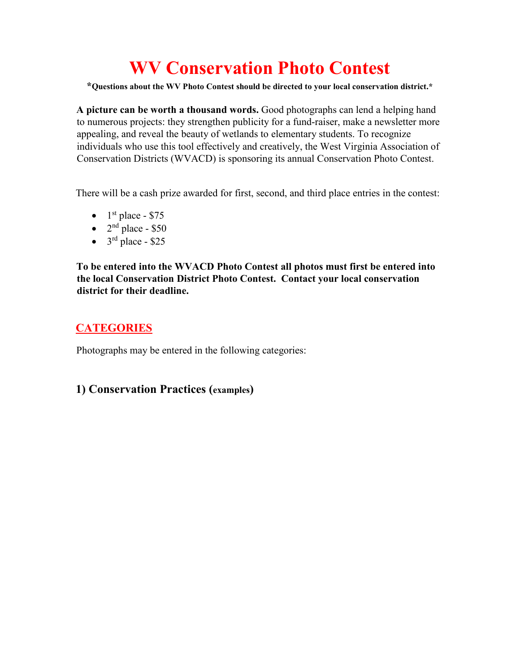# **WV Conservation Photo Contest**

**\*Questions about the WV Photo Contest should be directed to your local conservation district.\***

**A picture can be worth a thousand words.** Good photographs can lend a helping hand to numerous projects: they strengthen publicity for a fund-raiser, make a newsletter more appealing, and reveal the beauty of wetlands to elementary students. To recognize individuals who use this tool effectively and creatively, the West Virginia Association of Conservation Districts (WVACD) is sponsoring its annual Conservation Photo Contest.

There will be a cash prize awarded for first, second, and third place entries in the contest:

- $1<sup>st</sup>$  place \$75
- $2<sup>nd</sup>$  place \$50
- $3<sup>rd</sup>$  place \$25

**To be entered into the WVACD Photo Contest all photos must first be entered into the local Conservation District Photo Contest. Contact your local conservation district for their deadline.** 

## **CATEGORIES**

Photographs may be entered in the following categories:

#### **1) Conservation Practices (examples)**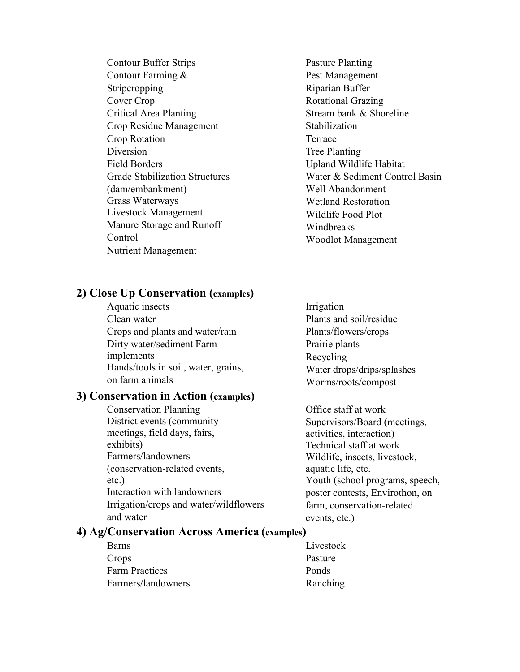Contour Buffer Strips Contour Farming & **Stripcropping** Cover Crop Critical Area Planting Crop Residue Management Crop Rotation Diversion Field Borders Grade Stabilization Structures (dam/embankment) Grass Waterways Livestock Management Manure Storage and Runoff Control Nutrient Management

Pasture Planting Pest Management Riparian Buffer Rotational Grazing Stream bank & Shoreline **Stabilization** Terrace Tree Planting Upland Wildlife Habitat Water & Sediment Control Basin Well Abandonment Wetland Restoration Wildlife Food Plot Windbreaks Woodlot Management

#### **2) Close Up Conservation (examples)**

Aquatic insects Clean water Crops and plants and water/rain Dirty water/sediment Farm implements Hands/tools in soil, water, grains, on farm animals

#### **3) Conservation in Action (examples)**

- Conservation Planning District events (community meetings, field days, fairs, exhibits) Farmers/landowners (conservation-related events, etc.) Interaction with landowners Irrigation/crops and water/wildflowers and water
- Irrigation Plants and soil/residue Plants/flowers/crops Prairie plants Recycling Water drops/drips/splashes Worms/roots/compost

Office staff at work Supervisors/Board (meetings, activities, interaction) Technical staff at work Wildlife, insects, livestock, aquatic life, etc. Youth (school programs, speech, poster contests, Envirothon, on farm, conservation-related events, etc.)

#### **4) Ag/Conservation Across America (examples)**

| Barns                 | Livestock |
|-----------------------|-----------|
| Crops                 | Pasture   |
| <b>Farm Practices</b> | Ponds     |
| Farmers/landowners    | Ranching  |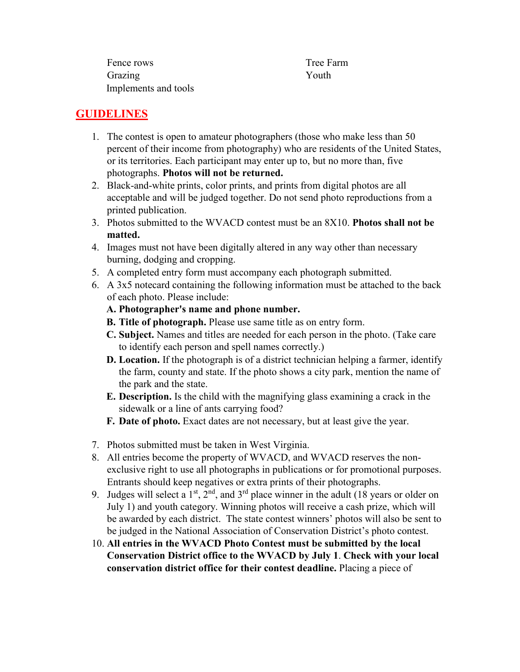| Fence rows           | Tree F |
|----------------------|--------|
| Grazing              | Youth  |
| Implements and tools |        |

Tree Farm

### **GUIDELINES**

- 1. The contest is open to amateur photographers (those who make less than 50 percent of their income from photography) who are residents of the United States, or its territories. Each participant may enter up to, but no more than, five photographs. **Photos will not be returned.**
- 2. Black-and-white prints, color prints, and prints from digital photos are all acceptable and will be judged together. Do not send photo reproductions from a printed publication.
- 3. Photos submitted to the WVACD contest must be an 8X10. **Photos shall not be matted.**
- 4. Images must not have been digitally altered in any way other than necessary burning, dodging and cropping.
- 5. A completed entry form must accompany each photograph submitted.
- 6. A 3x5 notecard containing the following information must be attached to the back of each photo. Please include:
	- **A. Photographer's name and phone number.**
	- **B. Title of photograph.** Please use same title as on entry form.
	- **C. Subject.** Names and titles are needed for each person in the photo. (Take care to identify each person and spell names correctly.)
	- **D. Location.** If the photograph is of a district technician helping a farmer, identify the farm, county and state. If the photo shows a city park, mention the name of the park and the state.
	- **E. Description.** Is the child with the magnifying glass examining a crack in the sidewalk or a line of ants carrying food?
	- **F. Date of photo.** Exact dates are not necessary, but at least give the year.
- 7. Photos submitted must be taken in West Virginia.
- 8. All entries become the property of WVACD, and WVACD reserves the nonexclusive right to use all photographs in publications or for promotional purposes. Entrants should keep negatives or extra prints of their photographs.
- 9. Judges will select a  $1<sup>st</sup>$ ,  $2<sup>nd</sup>$ , and  $3<sup>rd</sup>$  place winner in the adult (18 years or older on July 1) and youth category. Winning photos will receive a cash prize, which will be awarded by each district. The state contest winners' photos will also be sent to be judged in the National Association of Conservation District's photo contest.
- 10. **All entries in the WVACD Photo Contest must be submitted by the local Conservation District office to the WVACD by July 1**. **Check with your local conservation district office for their contest deadline.** Placing a piece of